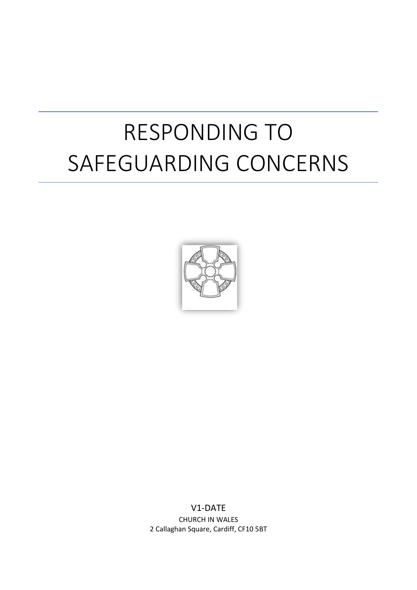# RESPONDING TO SAFEGUARDING CONCERNS



V1-DATE CHURCH IN WALES 2 Callaghan Square, Cardiff, CF10 5BT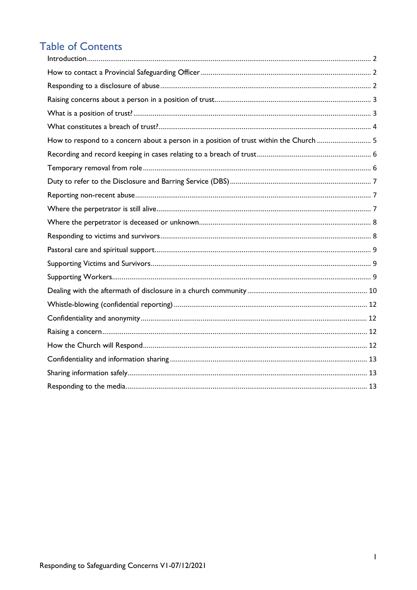# **Table of Contents**

| How to respond to a concern about a person in a position of trust within the Church  5 |  |
|----------------------------------------------------------------------------------------|--|
|                                                                                        |  |
|                                                                                        |  |
|                                                                                        |  |
|                                                                                        |  |
|                                                                                        |  |
|                                                                                        |  |
|                                                                                        |  |
|                                                                                        |  |
|                                                                                        |  |
|                                                                                        |  |
|                                                                                        |  |
|                                                                                        |  |
|                                                                                        |  |
|                                                                                        |  |
|                                                                                        |  |
|                                                                                        |  |
|                                                                                        |  |
|                                                                                        |  |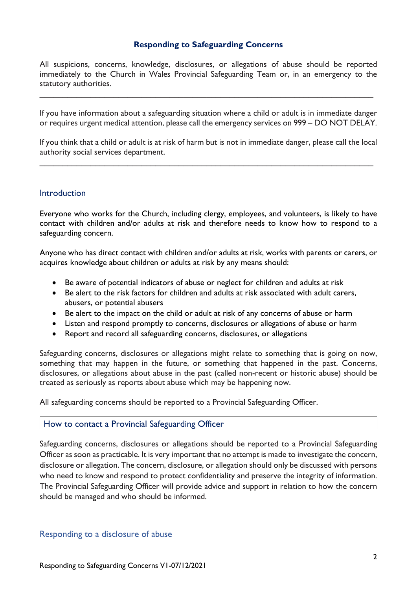#### **Responding to Safeguarding Concerns**

All suspicions, concerns, knowledge, disclosures, or allegations of abuse should be reported immediately to the Church in Wales Provincial Safeguarding Team or, in an emergency to the statutory authorities.

\_\_\_\_\_\_\_\_\_\_\_\_\_\_\_\_\_\_\_\_\_\_\_\_\_\_\_\_\_\_\_\_\_\_\_\_\_\_\_\_\_\_\_\_\_\_\_\_\_\_\_\_\_\_\_\_\_\_\_\_\_\_\_\_\_\_\_\_\_\_\_\_

If you have information about a safeguarding situation where a child or adult is in immediate danger or requires urgent medical attention, please call the emergency services on 999 – DO NOT DELAY.

If you think that a child or adult is at risk of harm but is not in immediate danger, please call the local authority social services department.

\_\_\_\_\_\_\_\_\_\_\_\_\_\_\_\_\_\_\_\_\_\_\_\_\_\_\_\_\_\_\_\_\_\_\_\_\_\_\_\_\_\_\_\_\_\_\_\_\_\_\_\_\_\_\_\_\_\_\_\_\_\_\_\_\_\_\_\_\_\_\_\_

#### <span id="page-2-0"></span>**Introduction**

Everyone who works for the Church, including clergy, employees, and volunteers, is likely to have contact with children and/or adults at risk and therefore needs to know how to respond to a safeguarding concern.

Anyone who has direct contact with children and/or adults at risk, works with parents or carers, or acquires knowledge about children or adults at risk by any means should:

- Be aware of potential indicators of abuse or neglect for children and adults at risk
- Be alert to the risk factors for children and adults at risk associated with adult carers, abusers, or potential abusers
- Be alert to the impact on the child or adult at risk of any concerns of abuse or harm
- Listen and respond promptly to concerns, disclosures or allegations of abuse or harm
- Report and record all safeguarding concerns, disclosures, or allegations

Safeguarding concerns, disclosures or allegations might relate to something that is going on now, something that may happen in the future, or something that happened in the past. Concerns, disclosures, or allegations about abuse in the past (called non-recent or historic abuse) should be treated as seriously as reports about abuse which may be happening now.

All safeguarding concerns should be reported to a Provincial Safeguarding Officer.

#### <span id="page-2-1"></span>How to contact a Provincial Safeguarding Officer

Safeguarding concerns, disclosures or allegations should be reported to a Provincial Safeguarding Officer as soon as practicable. It is very important that no attempt is made to investigate the concern, disclosure or allegation. The concern, disclosure, or allegation should only be discussed with persons who need to know and respond to protect confidentiality and preserve the integrity of information. The Provincial Safeguarding Officer will provide advice and support in relation to how the concern should be managed and who should be informed.

#### <span id="page-2-2"></span>Responding to a disclosure of abuse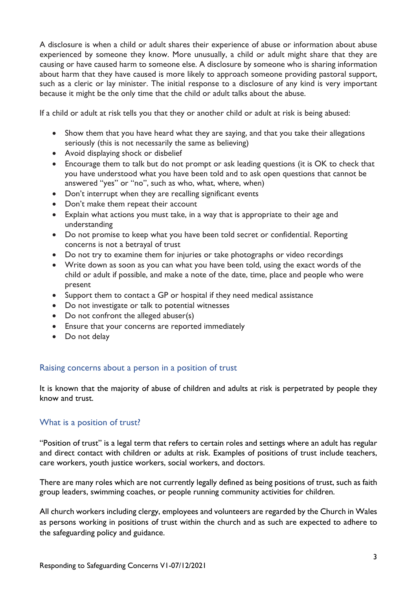A disclosure is when a child or adult shares their experience of abuse or information about abuse experienced by someone they know. More unusually, a child or adult might share that they are causing or have caused harm to someone else. A disclosure by someone who is sharing information about harm that they have caused is more likely to approach someone providing pastoral support, such as a cleric or lay minister. The initial response to a disclosure of any kind is very important because it might be the only time that the child or adult talks about the abuse.

If a child or adult at risk tells you that they or another child or adult at risk is being abused:

- Show them that you have heard what they are saying, and that you take their allegations seriously (this is not necessarily the same as believing)
- Avoid displaying shock or disbelief
- Encourage them to talk but do not prompt or ask leading questions (it is OK to check that you have understood what you have been told and to ask open questions that cannot be answered "yes" or "no", such as who, what, where, when)
- Don't interrupt when they are recalling significant events
- Don't make them repeat their account
- Explain what actions you must take, in a way that is appropriate to their age and understanding
- Do not promise to keep what you have been told secret or confidential. Reporting concerns is not a betrayal of trust
- Do not try to examine them for injuries or take photographs or video recordings
- Write down as soon as you can what you have been told, using the exact words of the child or adult if possible, and make a note of the date, time, place and people who were present
- Support them to contact a GP or hospital if they need medical assistance
- Do not investigate or talk to potential witnesses
- Do not confront the alleged abuser(s)
- Ensure that your concerns are reported immediately
- Do not delay

# <span id="page-3-0"></span>Raising concerns about a person in a position of trust

It is known that the majority of abuse of children and adults at risk is perpetrated by people they know and trust.

# <span id="page-3-1"></span>What is a position of trust?

"Position of trust" is a legal term that refers to certain roles and settings where an adult has regular and direct contact with children or adults at risk. Examples of positions of trust include teachers, care workers, youth justice workers, social workers, and doctors.

There are many roles which are not currently legally defined as being positions of trust, such as faith group leaders, swimming coaches, or people running community activities for children.

All church workers including clergy, employees and volunteers are regarded by the Church in Wales as persons working in positions of trust within the church and as such are expected to adhere to the safeguarding policy and guidance.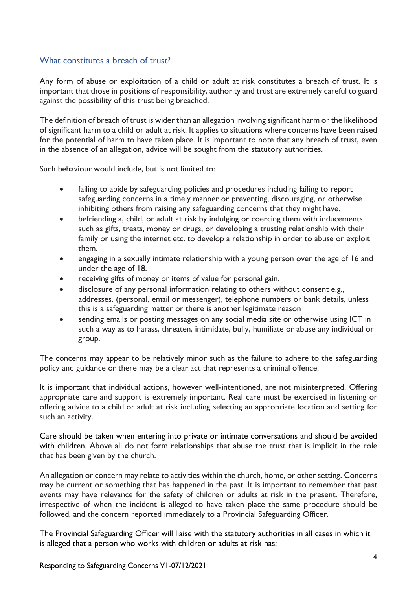# <span id="page-4-0"></span>What constitutes a breach of trust?

Any form of abuse or exploitation of a child or adult at risk constitutes a breach of trust. It is important that those in positions of responsibility, authority and trust are extremely careful to guard against the possibility of this trust being breached.

The definition of breach of trust is wider than an allegation involving significant harm or the likelihood of significant harm to a child or adult at risk. It applies to situations where concerns have been raised for the potential of harm to have taken place. It is important to note that any breach of trust, even in the absence of an allegation, advice will be sought from the statutory authorities.

Such behaviour would include, but is not limited to:

- failing to abide by safeguarding policies and procedures including failing to report safeguarding concerns in a timely manner or preventing, discouraging, or otherwise inhibiting others from raising any safeguarding concerns that they might have.
- befriending a, child, or adult at risk by indulging or coercing them with inducements such as gifts, treats, money or drugs, or developing a trusting relationship with their family or using the internet etc. to develop a relationship in order to abuse or exploit them.
- engaging in a sexually intimate relationship with a young person over the age of 16 and under the age of 18.
- receiving gifts of money or items of value for personal gain.
- disclosure of any personal information relating to others without consent e.g., addresses, (personal, email or messenger), telephone numbers or bank details, unless this is a safeguarding matter or there is another legitimate reason
- sending emails or posting messages on any social media site or otherwise using ICT in such a way as to harass, threaten, intimidate, bully, humiliate or abuse any individual or group.

The concerns may appear to be relatively minor such as the failure to adhere to the safeguarding policy and guidance or there may be a clear act that represents a criminal offence.

It is important that individual actions, however well-intentioned, are not misinterpreted. Offering appropriate care and support is extremely important. Real care must be exercised in listening or offering advice to a child or adult at risk including selecting an appropriate location and setting for such an activity.

Care should be taken when entering into private or intimate conversations and should be avoided with children. Above all do not form relationships that abuse the trust that is implicit in the role that has been given by the church.

An allegation or concern may relate to activities within the church, home, or other setting. Concerns may be current or something that has happened in the past. It is important to remember that past events may have relevance for the safety of children or adults at risk in the present. Therefore, irrespective of when the incident is alleged to have taken place the same procedure should be followed, and the concern reported immediately to a Provincial Safeguarding Officer.

The Provincial Safeguarding Officer will liaise with the statutory authorities in all cases in which it is alleged that a person who works with children or adults at risk has: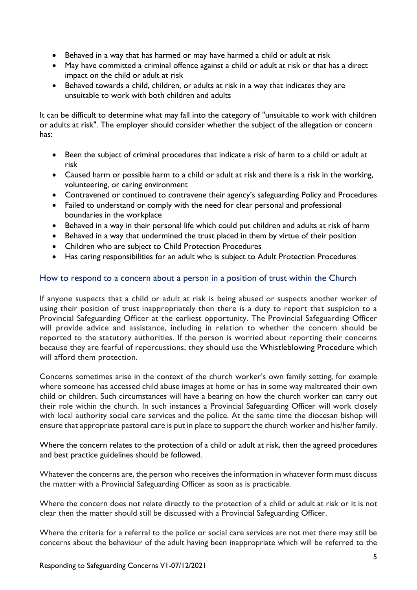- Behaved in a way that has harmed or may have harmed a child or adult at risk
- May have committed a criminal offence against a child or adult at risk or that has a direct impact on the child or adult at risk
- Behaved towards a child, children, or adults at risk in a way that indicates they are unsuitable to work with both children and adults

It can be difficult to determine what may fall into the category of "unsuitable to work with children or adults at risk". The employer should consider whether the subject of the allegation or concern has:

- Been the subject of criminal procedures that indicate a risk of harm to a child or adult at risk
- Caused harm or possible harm to a child or adult at risk and there is a risk in the working, volunteering, or caring environment
- Contravened or continued to contravene their agency's safeguarding Policy and Procedures
- Failed to understand or comply with the need for clear personal and professional boundaries in the workplace
- Behaved in a way in their personal life which could put children and adults at risk of harm
- Behaved in a way that undermined the trust placed in them by virtue of their position
- Children who are subject to Child Protection Procedures
- Has caring responsibilities for an adult who is subject to Adult Protection Procedures

#### <span id="page-5-0"></span>How to respond to a concern about a person in a position of trust within the Church

If anyone suspects that a child or adult at risk is being abused or suspects another worker of using their position of trust inappropriately then there is a duty to report that suspicion to a Provincial Safeguarding Officer at the earliest opportunity. The Provincial Safeguarding Officer will provide advice and assistance, including in relation to whether the concern should be reported to the statutory authorities. If the person is worried about reporting their concerns because they are fearful of repercussions, they should use the Whistleblowing Procedure which will afford them protection.

Concerns sometimes arise in the context of the church worker's own family setting, for example where someone has accessed child abuse images at home or has in some way maltreated their own child or children. Such circumstances will have a bearing on how the church worker can carry out their role within the church. In such instances a Provincial Safeguarding Officer will work closely with local authority social care services and the police. At the same time the diocesan bishop will ensure that appropriate pastoral care is put in place to support the church worker and his/her family.

Where the concern relates to the protection of a child or adult at risk, then the agreed procedures and best practice guidelines should be followed.

Whatever the concerns are, the person who receives the information in whatever form must discuss the matter with a Provincial Safeguarding Officer as soon as is practicable.

Where the concern does not relate directly to the protection of a child or adult at risk or it is not clear then the matter should still be discussed with a Provincial Safeguarding Officer.

Where the criteria for a referral to the police or social care services are not met there may still be concerns about the behaviour of the adult having been inappropriate which will be referred to the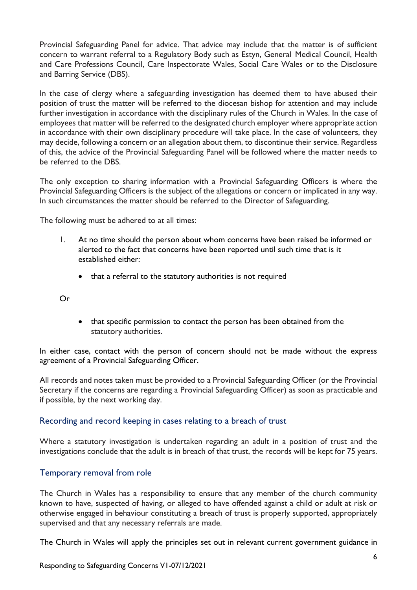Provincial Safeguarding Panel for advice. That advice may include that the matter is of sufficient concern to warrant referral to a Regulatory Body such as Estyn, General Medical Council, Health and Care Professions Council, Care Inspectorate Wales, Social Care Wales or to the Disclosure and Barring Service (DBS).

In the case of clergy where a safeguarding investigation has deemed them to have abused their position of trust the matter will be referred to the diocesan bishop for attention and may include further investigation in accordance with the disciplinary rules of the Church in Wales. In the case of employees that matter will be referred to the designated church employer where appropriate action in accordance with their own disciplinary procedure will take place. In the case of volunteers, they may decide, following a concern or an allegation about them, to discontinue their service. Regardless of this, the advice of the Provincial Safeguarding Panel will be followed where the matter needs to be referred to the DBS.

The only exception to sharing information with a Provincial Safeguarding Officers is where the Provincial Safeguarding Officers is the subject of the allegations or concern or implicated in any way. In such circumstances the matter should be referred to the Director of Safeguarding.

The following must be adhered to at all times:

- 1. At no time should the person about whom concerns have been raised be informed or alerted to the fact that concerns have been reported until such time that is it established either:
	- that a referral to the statutory authorities is not required

Or

• that specific permission to contact the person has been obtained from the statutory authorities.

In either case, contact with the person of concern should not be made without the express agreement of a Provincial Safeguarding Officer.

All records and notes taken must be provided to a Provincial Safeguarding Officer (or the Provincial Secretary if the concerns are regarding a Provincial Safeguarding Officer) as soon as practicable and if possible, by the next working day.

#### <span id="page-6-0"></span>Recording and record keeping in cases relating to a breach of trust

Where a statutory investigation is undertaken regarding an adult in a position of trust and the investigations conclude that the adult is in breach of that trust, the records will be kept for 75 years.

#### <span id="page-6-1"></span>Temporary removal from role

The Church in Wales has a responsibility to ensure that any member of the church community known to have, suspected of having, or alleged to have offended against a child or adult at risk or otherwise engaged in behaviour constituting a breach of trust is properly supported, appropriately supervised and that any necessary referrals are made.

The Church in Wales will apply the principles set out in relevant current government guidance in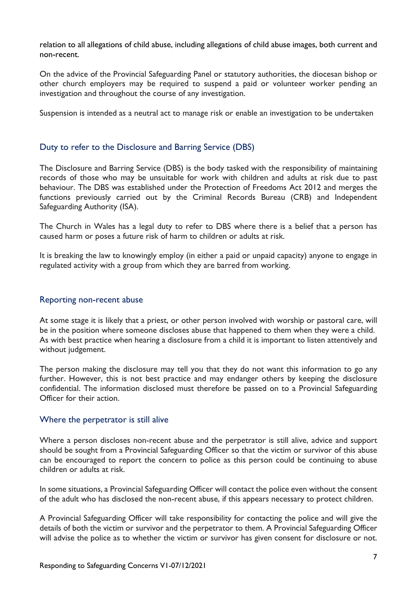relation to all allegations of child abuse, including allegations of child abuse images, both current and non-recent.

On the advice of the Provincial Safeguarding Panel or statutory authorities, the diocesan bishop or other church employers may be required to suspend a paid or volunteer worker pending an investigation and throughout the course of any investigation.

Suspension is intended as a neutral act to manage risk or enable an investigation to be undertaken

# <span id="page-7-0"></span>Duty to refer to the Disclosure and Barring Service (DBS)

The Disclosure and Barring Service (DBS) is the body tasked with the responsibility of maintaining records of those who may be unsuitable for work with children and adults at risk due to past behaviour. The DBS was established under the Protection of Freedoms Act 2012 and merges the functions previously carried out by the Criminal Records Bureau (CRB) and Independent Safeguarding Authority (ISA).

The Church in Wales has a legal duty to refer to DBS where there is a belief that a person has caused harm or poses a future risk of harm to children or adults at risk.

It is breaking the law to knowingly employ (in either a paid or unpaid capacity) anyone to engage in regulated activity with a group from which they are barred from working.

#### <span id="page-7-1"></span>Reporting non-recent abuse

At some stage it is likely that a priest, or other person involved with worship or pastoral care, will be in the position where someone discloses abuse that happened to them when they were a child. As with best practice when hearing a disclosure from a child it is important to listen attentively and without judgement.

The person making the disclosure may tell you that they do not want this information to go any further. However, this is not best practice and may endanger others by keeping the disclosure confidential. The information disclosed must therefore be passed on to a Provincial Safeguarding Officer for their action.

#### <span id="page-7-2"></span>Where the perpetrator is still alive

Where a person discloses non-recent abuse and the perpetrator is still alive, advice and support should be sought from a Provincial Safeguarding Officer so that the victim or survivor of this abuse can be encouraged to report the concern to police as this person could be continuing to abuse children or adults at risk.

In some situations, a Provincial Safeguarding Officer will contact the police even without the consent of the adult who has disclosed the non-recent abuse, if this appears necessary to protect children.

A Provincial Safeguarding Officer will take responsibility for contacting the police and will give the details of both the victim or survivor and the perpetrator to them. A Provincial Safeguarding Officer will advise the police as to whether the victim or survivor has given consent for disclosure or not.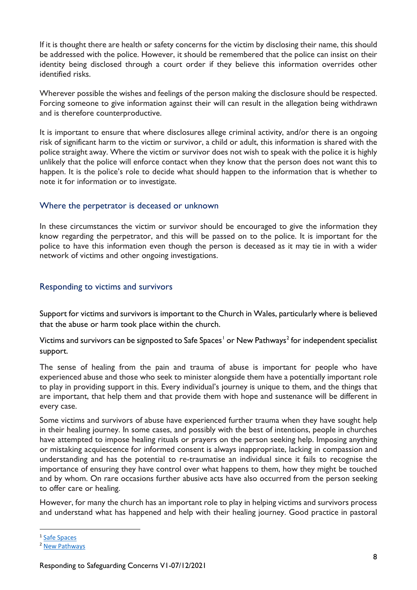If it is thought there are health or safety concerns for the victim by disclosing their name, this should be addressed with the police. However, it should be remembered that the police can insist on their identity being disclosed through a court order if they believe this information overrides other identified risks.

Wherever possible the wishes and feelings of the person making the disclosure should be respected. Forcing someone to give information against their will can result in the allegation being withdrawn and is therefore counterproductive.

It is important to ensure that where disclosures allege criminal activity, and/or there is an ongoing risk of significant harm to the victim or survivor, a child or adult, this information is shared with the police straight away. Where the victim or survivor does not wish to speak with the police it is highly unlikely that the police will enforce contact when they know that the person does not want this to happen. It is the police's role to decide what should happen to the information that is whether to note it for information or to investigate.

#### <span id="page-8-0"></span>Where the perpetrator is deceased or unknown

In these circumstances the victim or survivor should be encouraged to give the information they know regarding the perpetrator, and this will be passed on to the police. It is important for the police to have this information even though the person is deceased as it may tie in with a wider network of victims and other ongoing investigations.

## <span id="page-8-1"></span>Responding to victims and survivors

Support for victims and survivors is important to the Church in Wales, particularly where is believed that the abuse or harm took place within the church.

Victims and survivors can be signposted to Safe Spaces<sup>[1](#page-8-2)</sup> or New Pathways<sup>2</sup> for independent specialist support.

The sense of healing from the pain and trauma of abuse is important for people who have experienced abuse and those who seek to minister alongside them have a potentially important role to play in providing support in this. Every individual's journey is unique to them, and the things that are important, that help them and that provide them with hope and sustenance will be different in every case.

Some victims and survivors of abuse have experienced further trauma when they have sought help in their healing journey. In some cases, and possibly with the best of intentions, people in churches have attempted to impose healing rituals or prayers on the person seeking help. Imposing anything or mistaking acquiescence for informed consent is always inappropriate, lacking in compassion and understanding and has the potential to re-traumatise an individual since it fails to recognise the importance of ensuring they have control over what happens to them, how they might be touched and by whom. On rare occasions further abusive acts have also occurred from the person seeking to offer care or healing.

However, for many the church has an important role to play in helping victims and survivors process and understand what has happened and help with their healing journey. Good practice in pastoral

<span id="page-8-2"></span><sup>1</sup> [Safe Spaces](https://www.victimsupport.org.uk/more-us/why-choose-us/specialist-services/safe-spaces/)

<span id="page-8-3"></span><sup>2</sup> [New Pathways](http://www.newpathways.org.uk/)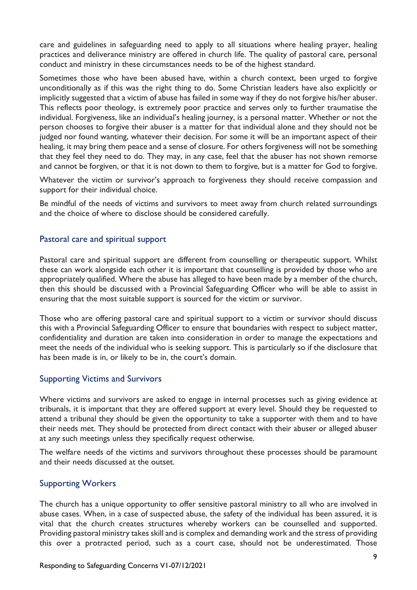care and guidelines in safeguarding need to apply to all situations where healing prayer, healing practices and deliverance ministry are offered in church life. The quality of pastoral care, personal conduct and ministry in these circumstances needs to be of the highest standard.

Sometimes those who have been abused have, within a church context, been urged to forgive unconditionally as if this was the right thing to do. Some Christian leaders have also explicitly or implicitly suggested that a victim of abuse has failed in some way if they do not forgive his/her abuser. This reflects poor theology, is extremely poor practice and serves only to further traumatise the individual. Forgiveness, like an individual's healing journey, is a personal matter. Whether or not the person chooses to forgive their abuser is a matter for that individual alone and they should not be judged nor found wanting, whatever their decision. For some it will be an important aspect of their healing, it may bring them peace and a sense of closure. For others forgiveness will not be something that they feel they need to do. They may, in any case, feel that the abuser has not shown remorse and cannot be forgiven, or that it is not down to them to forgive, but is a matter for God to forgive.

Whatever the victim or survivor's approach to forgiveness they should receive compassion and support for their individual choice.

Be mindful of the needs of victims and survivors to meet away from church related surroundings and the choice of where to disclose should be considered carefully.

#### <span id="page-9-0"></span>Pastoral care and spiritual support

Pastoral care and spiritual support are different from counselling or therapeutic support. Whilst these can work alongside each other it is important that counselling is provided by those who are appropriately qualified. Where the abuse has alleged to have been made by a member of the church, then this should be discussed with a Provincial Safeguarding Officer who will be able to assist in ensuring that the most suitable support is sourced for the victim or survivor.

Those who are offering pastoral care and spiritual support to a victim or survivor should discuss this with a Provincial Safeguarding Officer to ensure that boundaries with respect to subject matter, confidentiality and duration are taken into consideration in order to manage the expectations and meet the needs of the individual who is seeking support. This is particularly so if the disclosure that has been made is in, or likely to be in, the court's domain.

#### <span id="page-9-1"></span>Supporting Victims and Survivors

Where victims and survivors are asked to engage in internal processes such as giving evidence at tribunals, it is important that they are offered support at every level. Should they be requested to attend a tribunal they should be given the opportunity to take a supporter with them and to have their needs met. They should be protected from direct contact with their abuser or alleged abuser at any such meetings unless they specifically request otherwise.

The welfare needs of the victims and survivors throughout these processes should be paramount and their needs discussed at the outset.

#### <span id="page-9-2"></span>Supporting Workers

The church has a unique opportunity to offer sensitive pastoral ministry to all who are involved in abuse cases. When, in a case of suspected abuse, the safety of the individual has been assured, it is vital that the church creates structures whereby workers can be counselled and supported. Providing pastoral ministry takes skill and is complex and demanding work and the stress of providing this over a protracted period, such as a court case, should not be underestimated. Those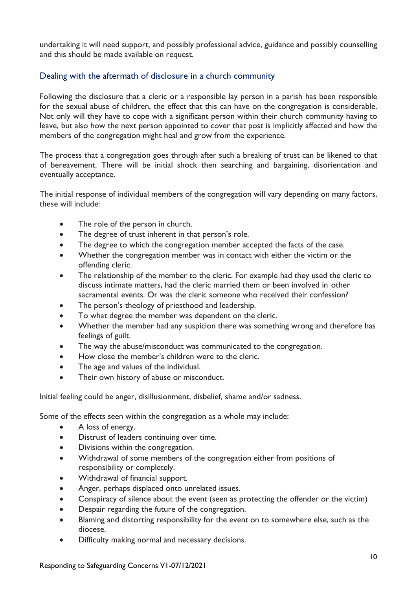undertaking it will need support, and possibly professional advice, guidance and possibly counselling and this should be made available on request.

# <span id="page-10-0"></span>Dealing with the aftermath of disclosure in a church community

Following the disclosure that a cleric or a responsible lay person in a parish has been responsible for the sexual abuse of children, the effect that this can have on the congregation is considerable. Not only will they have to cope with a significant person within their church community having to leave, but also how the next person appointed to cover that post is implicitly affected and how the members of the congregation might heal and grow from the experience.

The process that a congregation goes through after such a breaking of trust can be likened to that of bereavement. There will be initial shock then searching and bargaining, disorientation and eventually acceptance.

The initial response of individual members of the congregation will vary depending on many factors, these will include:

- The role of the person in church.
- The degree of trust inherent in that person's role.
- The degree to which the congregation member accepted the facts of the case.
- Whether the congregation member was in contact with either the victim or the offending cleric.
- The relationship of the member to the cleric. For example had they used the cleric to discuss intimate matters, had the cleric married them or been involved in other sacramental events. Or was the cleric someone who received their confession?
- The person's theology of priesthood and leadership.
- To what degree the member was dependent on the cleric.
- Whether the member had any suspicion there was something wrong and therefore has feelings of guilt.
- The way the abuse/misconduct was communicated to the congregation.
- How close the member's children were to the cleric.
- The age and values of the individual.
- Their own history of abuse or misconduct.

Initial feeling could be anger, disillusionment, disbelief, shame and/or sadness.

Some of the effects seen within the congregation as a whole may include:

- A loss of energy.
- Distrust of leaders continuing over time.
- Divisions within the congregation.
- Withdrawal of some members of the congregation either from positions of responsibility or completely.
- Withdrawal of financial support.
- Anger, perhaps displaced onto unrelated issues.
- Conspiracy of silence about the event (seen as protecting the offender or the victim)
- Despair regarding the future of the congregation.
- Blaming and distorting responsibility for the event on to somewhere else, such as the diocese.
- Difficulty making normal and necessary decisions.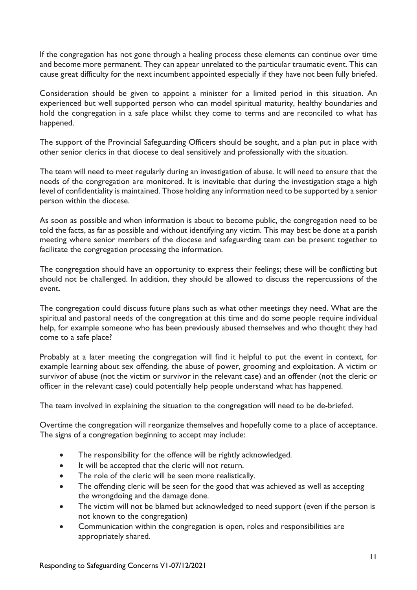If the congregation has not gone through a healing process these elements can continue over time and become more permanent. They can appear unrelated to the particular traumatic event. This can cause great difficulty for the next incumbent appointed especially if they have not been fully briefed.

Consideration should be given to appoint a minister for a limited period in this situation. An experienced but well supported person who can model spiritual maturity, healthy boundaries and hold the congregation in a safe place whilst they come to terms and are reconciled to what has happened.

The support of the Provincial Safeguarding Officers should be sought, and a plan put in place with other senior clerics in that diocese to deal sensitively and professionally with the situation.

The team will need to meet regularly during an investigation of abuse. It will need to ensure that the needs of the congregation are monitored. It is inevitable that during the investigation stage a high level of confidentiality is maintained. Those holding any information need to be supported by a senior person within the diocese.

As soon as possible and when information is about to become public, the congregation need to be told the facts, as far as possible and without identifying any victim. This may best be done at a parish meeting where senior members of the diocese and safeguarding team can be present together to facilitate the congregation processing the information.

The congregation should have an opportunity to express their feelings; these will be conflicting but should not be challenged. In addition, they should be allowed to discuss the repercussions of the event.

The congregation could discuss future plans such as what other meetings they need. What are the spiritual and pastoral needs of the congregation at this time and do some people require individual help, for example someone who has been previously abused themselves and who thought they had come to a safe place?

Probably at a later meeting the congregation will find it helpful to put the event in context, for example learning about sex offending, the abuse of power, grooming and exploitation. A victim or survivor of abuse (not the victim or survivor in the relevant case) and an offender (not the cleric or officer in the relevant case) could potentially help people understand what has happened.

The team involved in explaining the situation to the congregation will need to be de-briefed.

Overtime the congregation will reorganize themselves and hopefully come to a place of acceptance. The signs of a congregation beginning to accept may include:

- The responsibility for the offence will be rightly acknowledged.
- It will be accepted that the cleric will not return.
- The role of the cleric will be seen more realistically.
- The offending cleric will be seen for the good that was achieved as well as accepting the wrongdoing and the damage done.
- The victim will not be blamed but acknowledged to need support (even if the person is not known to the congregation)
- Communication within the congregation is open, roles and responsibilities are appropriately shared.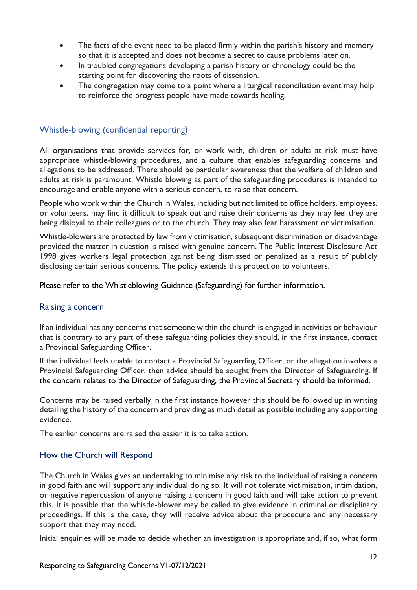- The facts of the event need to be placed firmly within the parish's history and memory so that it is accepted and does not become a secret to cause problems later on.
- In troubled congregations developing a parish history or chronology could be the starting point for discovering the roots of dissension.
- The congregation may come to a point where a liturgical reconciliation event may help to reinforce the progress people have made towards healing.

# <span id="page-12-0"></span>Whistle-blowing (confidential reporting)

All organisations that provide services for, or work with, children or adults at risk must have appropriate whistle-blowing procedures, and a culture that enables safeguarding concerns and allegations to be addressed. There should be particular awareness that the welfare of children and adults at risk is paramount. Whistle blowing as part of the safeguarding procedures is intended to encourage and enable anyone with a serious concern, to raise that concern.

People who work within the Church in Wales, including but not limited to office holders, employees, or volunteers, may find it difficult to speak out and raise their concerns as they may feel they are being disloyal to their colleagues or to the church. They may also fear harassment or victimisation.

Whistle-blowers are protected by law from victimisation, subsequent discrimination or disadvantage provided the matter in question is raised with genuine concern. The Public Interest Disclosure Act 1998 gives workers legal protection against being dismissed or penalized as a result of publicly disclosing certain serious concerns. The policy extends this protection to volunteers.

Please refer to the Whistleblowing Guidance (Safeguarding) for further information.

#### <span id="page-12-1"></span>Raising a concern

If an individual has any concerns that someone within the church is engaged in activities or behaviour that is contrary to any part of these safeguarding policies they should, in the first instance, contact a Provincial Safeguarding Officer.

If the individual feels unable to contact a Provincial Safeguarding Officer, or the allegation involves a Provincial Safeguarding Officer, then advice should be sought from the Director of Safeguarding. If the concern relates to the Director of Safeguarding, the Provincial Secretary should be informed.

Concerns may be raised verbally in the first instance however this should be followed up in writing detailing the history of the concern and providing as much detail as possible including any supporting evidence.

The earlier concerns are raised the easier it is to take action.

#### <span id="page-12-2"></span>How the Church will Respond

The Church in Wales gives an undertaking to minimise any risk to the individual of raising a concern in good faith and will support any individual doing so. It will not tolerate victimisation, intimidation, or negative repercussion of anyone raising a concern in good faith and will take action to prevent this. It is possible that the whistle-blower may be called to give evidence in criminal or disciplinary proceedings. If this is the case, they will receive advice about the procedure and any necessary support that they may need.

Initial enquiries will be made to decide whether an investigation is appropriate and, if so, what form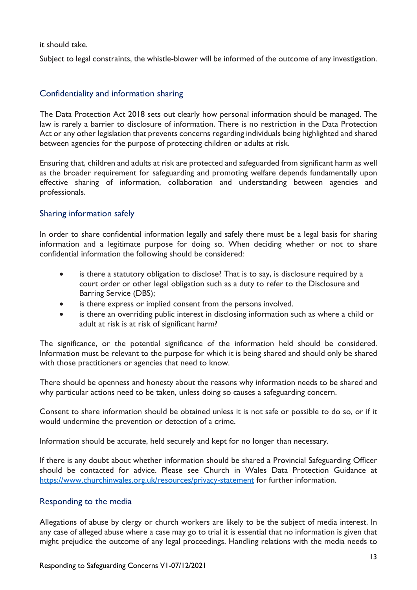it should take.

Subject to legal constraints, the whistle-blower will be informed of the outcome of any investigation.

# <span id="page-13-0"></span>Confidentiality and information sharing

The Data Protection Act 2018 sets out clearly how personal information should be managed. The law is rarely a barrier to disclosure of information. There is no restriction in the Data Protection Act or any other legislation that prevents concerns regarding individuals being highlighted and shared between agencies for the purpose of protecting children or adults at risk.

Ensuring that, children and adults at risk are protected and safeguarded from significant harm as well as the broader requirement for safeguarding and promoting welfare depends fundamentally upon effective sharing of information, collaboration and understanding between agencies and professionals.

## <span id="page-13-1"></span>Sharing information safely

In order to share confidential information legally and safely there must be a legal basis for sharing information and a legitimate purpose for doing so. When deciding whether or not to share confidential information the following should be considered:

- is there a statutory obligation to disclose? That is to say, is disclosure required by a court order or other legal obligation such as a duty to refer to the Disclosure and Barring Service (DBS);
- is there express or implied consent from the persons involved.
- is there an overriding public interest in disclosing information such as where a child or adult at risk is at risk of significant harm?

The significance, or the potential significance of the information held should be considered. Information must be relevant to the purpose for which it is being shared and should only be shared with those practitioners or agencies that need to know.

There should be openness and honesty about the reasons why information needs to be shared and why particular actions need to be taken, unless doing so causes a safeguarding concern.

Consent to share information should be obtained unless it is not safe or possible to do so, or if it would undermine the prevention or detection of a crime.

Information should be accurate, held securely and kept for no longer than necessary.

If there is any doubt about whether information should be shared a Provincial Safeguarding Officer should be contacted for advice. Please see Church in Wales Data Protection Guidance at <https://www.churchinwales.org.uk/resources/privacy-statement> for further information.

#### <span id="page-13-2"></span>Responding to the media

Allegations of abuse by clergy or church workers are likely to be the subject of media interest. In any case of alleged abuse where a case may go to trial it is essential that no information is given that might prejudice the outcome of any legal proceedings. Handling relations with the media needs to